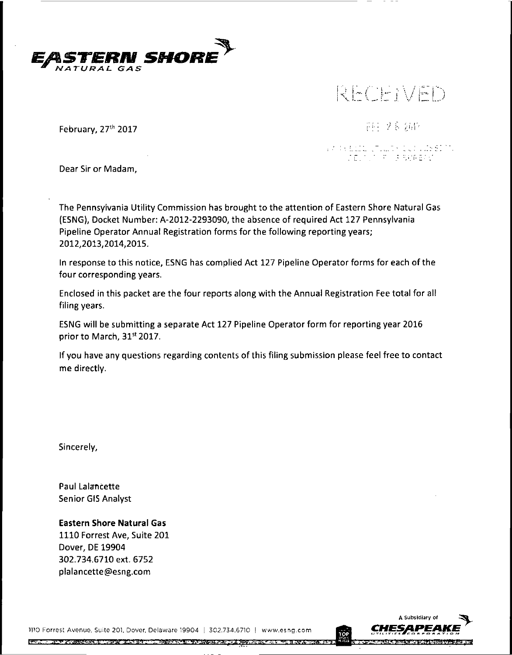

*)*

February, 27th 2017

中国文章创作

# VA (VELLO LTILLE) CLIVIDES!<br>VA (CELOLO PORRADAL)

Dear Sir or Madam,

The Pennsylvania Utility Commission has brought to the attention of Eastern Shore Natural Gas (ESNG), Docket Number: A-2012-2293090, the absence of required Act 127 Pennsylvania Pipeline Operator Annual Registration forms for the following reporting years; 2012,2013,2014,2015.

In response to this notice, ESNG has complied Act 127 Pipeline Operator forms for each ofthe four corresponding years.

Enclosed in this packet are the four reports along with the Annual Registration Fee total for all filing years.

ESNG will be submitting a separate Act 127 Pipeline Operator form for reporting year 2016 prior to March, 31st 2017.

If you have any questions regarding contents of this filing submission please feel free to contact me directly.

Sincerely,

Paul Lalancette Senior GIS Analyst

**Eastern Shore Natural Gas** 1110 Forrest Ave, Suite 201 Dover, DE 19904 302.734.6710 ext. 6752 plalancette@esng.com

>110 Forrest Avenue, Suite 201. Dover, Delaware 19904 <sup>|</sup> 302.734.6710 <sup>|</sup> www.esng.comREGULAR STREET IN THE CONTROL OF A HIGH OF BUILDING AND A SPECIFICALLY CONTROL OF A STREET OF A STREET

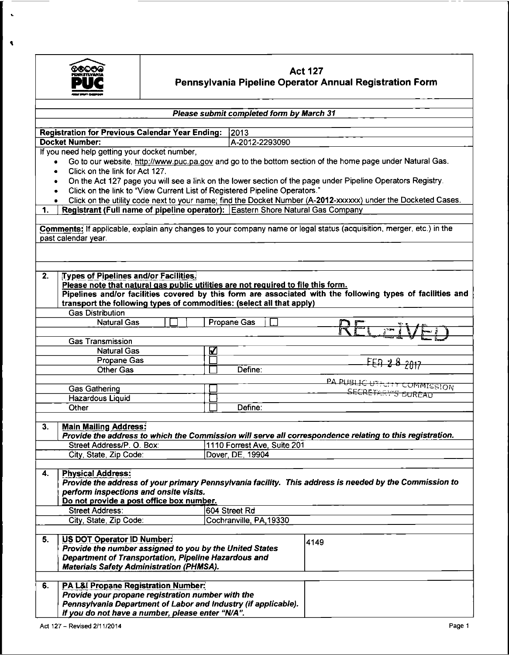

 $\bar{\mathbf{v}}$ 

 $\blacktriangleleft$ 

## **Act 127 Pennsylvania Pipeline Operator Annual Registration Form**

| Please submit completed form by March 31                                                                        |                                                                                                                      |  |  |  |  |  |
|-----------------------------------------------------------------------------------------------------------------|----------------------------------------------------------------------------------------------------------------------|--|--|--|--|--|
|                                                                                                                 |                                                                                                                      |  |  |  |  |  |
| <b>Registration for Previous Calendar Year Ending:</b><br> 2013                                                 |                                                                                                                      |  |  |  |  |  |
| <b>Docket Number:</b><br>A-2012-2293090                                                                         |                                                                                                                      |  |  |  |  |  |
| If you need help getting your docket number,                                                                    |                                                                                                                      |  |  |  |  |  |
| $\bullet$                                                                                                       | Go to our website, http://www.puc.pa.gov and go to the bottom section of the home page under Natural Gas.            |  |  |  |  |  |
| Click on the link for Act 127.<br>$\bullet$                                                                     |                                                                                                                      |  |  |  |  |  |
| ۰<br>Click on the link to "View Current List of Registered Pipeline Operators."                                 | On the Act 127 page you will see a link on the lower section of the page under Pipeline Operators Registry.          |  |  |  |  |  |
| ٠<br>$\bullet$                                                                                                  | Click on the utility code next to your name; find the Docket Number (A-2012-xxxxxx) under the Docketed Cases.        |  |  |  |  |  |
| 1.                                                                                                              | Registrant (Full name of pipeline operator): Eastern Shore Natural Gas Company                                       |  |  |  |  |  |
|                                                                                                                 |                                                                                                                      |  |  |  |  |  |
| past calendar year.                                                                                             | Comments: If applicable, explain any changes to your company name or legal status (acquisition, merger, etc.) in the |  |  |  |  |  |
|                                                                                                                 |                                                                                                                      |  |  |  |  |  |
|                                                                                                                 |                                                                                                                      |  |  |  |  |  |
| 2.<br>Types of Pipelines and/or Facilities.                                                                     |                                                                                                                      |  |  |  |  |  |
| Please note that natural gas public utilities are not required to file this form.                               |                                                                                                                      |  |  |  |  |  |
| transport the following types of commodities: (select all that apply)                                           | Pipelines and/or facilities covered by this form are associated with the following types of facilities and           |  |  |  |  |  |
| <b>Gas Distribution</b>                                                                                         |                                                                                                                      |  |  |  |  |  |
| <b>Natural Gas</b>                                                                                              | Propane Gas                                                                                                          |  |  |  |  |  |
|                                                                                                                 |                                                                                                                      |  |  |  |  |  |
| <b>Gas Transmission</b>                                                                                         |                                                                                                                      |  |  |  |  |  |
| <b>Natural Gas</b>                                                                                              | V                                                                                                                    |  |  |  |  |  |
| Propane Gas                                                                                                     | FEA 28 2017                                                                                                          |  |  |  |  |  |
| <b>Other Gas</b>                                                                                                | Define:                                                                                                              |  |  |  |  |  |
|                                                                                                                 | PA PUBLIC UTFULLY COMMISSION                                                                                         |  |  |  |  |  |
| Gas Gathering                                                                                                   | <del>S BUREAU</del>                                                                                                  |  |  |  |  |  |
| Hazardous Liquid                                                                                                |                                                                                                                      |  |  |  |  |  |
| Other                                                                                                           | Define:                                                                                                              |  |  |  |  |  |
|                                                                                                                 |                                                                                                                      |  |  |  |  |  |
| 3.<br><b>Main Mailing Address:</b>                                                                              | Provide the address to which the Commission will serve all correspondence relating to this registration.             |  |  |  |  |  |
| Street Address/P. O. Box:                                                                                       | 1110 Forrest Ave, Suite 201                                                                                          |  |  |  |  |  |
| City, State, Zip Code:                                                                                          | Dover, DE, 19904                                                                                                     |  |  |  |  |  |
|                                                                                                                 |                                                                                                                      |  |  |  |  |  |
| <b>Physical Address:</b><br>4.                                                                                  |                                                                                                                      |  |  |  |  |  |
|                                                                                                                 | Provide the address of your primary Pennsylvania facility. This address is needed by the Commission to               |  |  |  |  |  |
| perform inspections and onsite visits.                                                                          |                                                                                                                      |  |  |  |  |  |
| Do not provide a post office box number.                                                                        |                                                                                                                      |  |  |  |  |  |
| <b>Street Address:</b>                                                                                          | 604 Street Rd                                                                                                        |  |  |  |  |  |
| City, State, Zip Code:                                                                                          | Cochranville, PA, 19330                                                                                              |  |  |  |  |  |
| <b>US DOT Operator ID Number:</b><br>5.                                                                         |                                                                                                                      |  |  |  |  |  |
|                                                                                                                 | 4149                                                                                                                 |  |  |  |  |  |
| Provide the number assigned to you by the United States<br>Department of Transportation, Pipeline Hazardous and |                                                                                                                      |  |  |  |  |  |
| <b>Materials Safety Administration (PHMSA).</b>                                                                 |                                                                                                                      |  |  |  |  |  |
|                                                                                                                 |                                                                                                                      |  |  |  |  |  |
| PA L&I Propane Registration Number:<br>6.                                                                       |                                                                                                                      |  |  |  |  |  |
| Provide your propane registration number with the                                                               |                                                                                                                      |  |  |  |  |  |
| Pennsylvania Department of Labor and Industry (if applicable).                                                  |                                                                                                                      |  |  |  |  |  |
| If you do not have a number, please enter "N/A".                                                                |                                                                                                                      |  |  |  |  |  |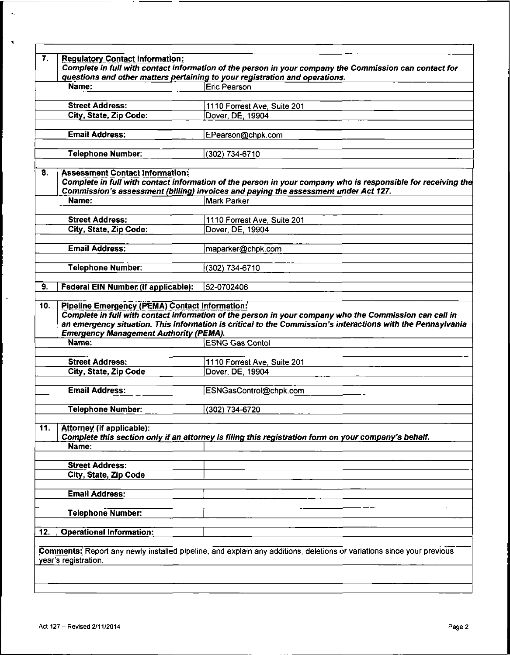|                                                                                                           | questions and other matters pertaining to your registration and operations.                                           |
|-----------------------------------------------------------------------------------------------------------|-----------------------------------------------------------------------------------------------------------------------|
| Name:                                                                                                     | Eric Pearson                                                                                                          |
| <b>Street Address:</b>                                                                                    | 1110 Forrest Ave, Suite 201                                                                                           |
| City, State, Zip Code:                                                                                    | Dover, DE, 19904                                                                                                      |
| <b>Email Address:</b>                                                                                     |                                                                                                                       |
|                                                                                                           | EPearson@chpk.com                                                                                                     |
| <b>Telephone Number:</b>                                                                                  | (302) 734-6710                                                                                                        |
| 8.<br><b>Assessment Contact Information:</b>                                                              |                                                                                                                       |
|                                                                                                           | Complete in full with contact information of the person in your company who is responsible for receiving the          |
| Name:                                                                                                     | Commission's assessment (billing) invoices and paying the assessment under Act 127.<br><b>Mark Parker</b>             |
|                                                                                                           |                                                                                                                       |
| <b>Street Address:</b>                                                                                    | 1110 Forrest Ave, Suite 201                                                                                           |
| City, State, Zip Code:                                                                                    | Dover, DE, 19904                                                                                                      |
| <b>Email Address:</b>                                                                                     |                                                                                                                       |
|                                                                                                           | maparker@chpk.com                                                                                                     |
| <b>Telephone Number:</b>                                                                                  | (302) 734-6710                                                                                                        |
|                                                                                                           |                                                                                                                       |
| 9.<br>Federal EIN Number (if applicable):<br><b>Pipeline Emergency (PEMA) Contact Information:</b><br>10. | 52-0702406<br>Complete in full with contact information of the person in your company who the Commission can call in  |
| <b>Emergency Management Authority (PEMA).</b>                                                             | an emergency situation. This information is critical to the Commission's interactions with the Pennsylvania           |
| Name:                                                                                                     | <b>ESNG Gas Contol</b>                                                                                                |
| <b>Street Address:</b>                                                                                    | 1110 Forrest Ave, Suite 201                                                                                           |
| City, State, Zip Code                                                                                     | Dover, DE, 19904                                                                                                      |
| <b>Email Address:</b>                                                                                     | ESNGasControl@chpk.com                                                                                                |
| <b>Telephone Number:</b>                                                                                  | (302) 734-6720                                                                                                        |
|                                                                                                           |                                                                                                                       |
| 11.<br><b>Attorney (if applicable):</b>                                                                   |                                                                                                                       |
| Name:                                                                                                     | Complete this section only if an attorney is filing this registration form on your company's behalf.                  |
|                                                                                                           |                                                                                                                       |
| <b>Street Address:</b>                                                                                    |                                                                                                                       |
| City, State, Zip Code                                                                                     |                                                                                                                       |
| <b>Email Address:</b>                                                                                     |                                                                                                                       |
| <b>Telephone Number:</b>                                                                                  |                                                                                                                       |
|                                                                                                           |                                                                                                                       |
| <b>Operational Information:</b><br>12.                                                                    | Comments: Report any newly installed pipeline, and explain any additions, deletions or variations since your previous |

 $\star_{\rm e}$ 

 $\mathbf{I}$ 

 $\lambda$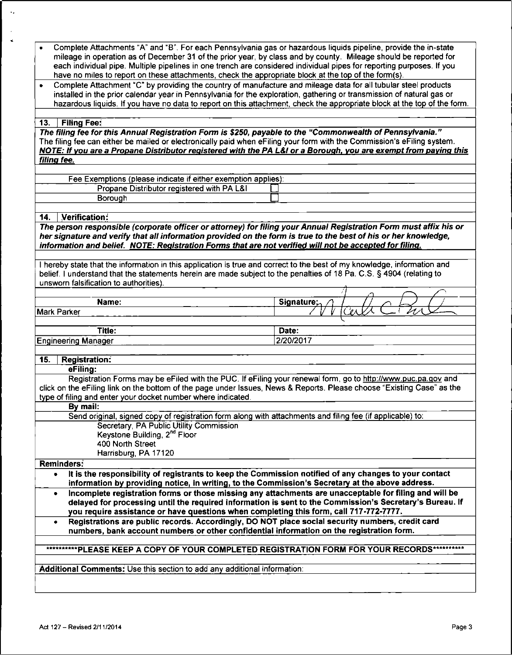| Complete Attachments "A" and "B". For each Pennsylvania gas or hazardous liquids pipeline, provide the in-state          |                  |
|--------------------------------------------------------------------------------------------------------------------------|------------------|
| mileage in operation as of December 31 of the prior year, by class and by county. Mileage should be reported for         |                  |
| each individual pipe. Multiple pipelines in one trench are considered individual pipes for reporting purposes. If you    |                  |
| have no miles to report on these attachments, check the appropriate block at the top of the form(s).                     |                  |
| Complete Attachment "C" by providing the country of manufacture and mileage data for all tubular steel products<br>٠     |                  |
| installed in the prior calendar year in Pennsylvania for the exploration, gathering or transmission of natural gas or    |                  |
| hazardous liquids. If you have no data to report on this attachment, check the appropriate block at the top of the form. |                  |
|                                                                                                                          |                  |
| <b>Filing Fee:</b><br>13.                                                                                                |                  |
| The filing fee for this Annual Registration Form is \$250, payable to the "Commonwealth of Pennsylvania."                |                  |
| The filing fee can either be mailed or electronically paid when eFiling your form with the Commission's eFiling system.  |                  |
| NOTE: If you are a Propane Distributor registered with the PA L&I or a Borough, you are exempt from paying this          |                  |
| filing fee.                                                                                                              |                  |
|                                                                                                                          |                  |
| Fee Exemptions (please indicate if either exemption applies):                                                            |                  |
| Propane Distributor registered with PA L&I                                                                               |                  |
| Borough                                                                                                                  |                  |
|                                                                                                                          |                  |
| Verification:<br>14.                                                                                                     |                  |
| The person responsible (corporate officer or attorney) for filing your Annual Registration Form must affix his or        |                  |
| her signature and verify that all information provided on the form is true to the best of his or her knowledge,          |                  |
| information and belief. NOTE: Registration Forms that are not verified will not be accepted for filing.                  |                  |
|                                                                                                                          |                  |
| I hereby state that the information in this application is true and correct to the best of my knowledge, information and |                  |
| belief. I understand that the statements herein are made subject to the penalties of 18 Pa. C.S. § 4904 (relating to     |                  |
| unsworn falsification to authorities).                                                                                   |                  |
|                                                                                                                          |                  |
|                                                                                                                          |                  |
|                                                                                                                          |                  |
| Name:                                                                                                                    | <b>Signature</b> |
| <b>Mark Parker</b>                                                                                                       |                  |
|                                                                                                                          |                  |
| Title:                                                                                                                   | Date:            |
| <b>Engineering Manager</b>                                                                                               | 2/20/2017        |
|                                                                                                                          |                  |
| 15.<br><b>Registration:</b>                                                                                              |                  |
| eFiling:                                                                                                                 |                  |
| Registration Forms may be eFiled with the PUC. If eFiling your renewal form, go to http://www.puc.pa.gov and             |                  |
| click on the eFiling link on the bottom of the page under Issues, News & Reports. Please choose "Existing Case" as the   |                  |
| type of filing and enter your docket number where indicated.                                                             |                  |
| By mail:                                                                                                                 |                  |
|                                                                                                                          |                  |
| Send original, signed copy of registration form along with attachments and filing fee (if applicable) to:                |                  |
| Secretary, PA Public Utility Commission                                                                                  |                  |
| Keystone Building, 2 <sup>nd</sup> Floor                                                                                 |                  |
| 400 North Street                                                                                                         |                  |
| Harrisburg, PA 17120                                                                                                     |                  |
| Reminders:                                                                                                               |                  |
| It is the responsibility of registrants to keep the Commission notified of any changes to your contact<br>٠              |                  |
| information by providing notice, in writing, to the Commission's Secretary at the above address.                         |                  |
| Incomplete registration forms or those missing any attachments are unacceptable for filing and will be<br>٠              |                  |
| delayed for processing until the required information is sent to the Commission's Secretary's Bureau. If                 |                  |
| you require assistance or have questions when completing this form, call 717-772-7777.                                   |                  |
| Registrations are public records. Accordingly, DO NOT place social security numbers, credit card<br>٠                    |                  |
| numbers, bank account numbers or other confidential information on the registration form.                                |                  |
|                                                                                                                          |                  |
| ***PLEASE KEEP A COPY OF YOUR COMPLETED REGISTRATION FORM FOR YOUR RECORDS**                                             |                  |
|                                                                                                                          |                  |
| Additional Comments: Use this section to add any additional information:                                                 |                  |
|                                                                                                                          |                  |

 $\ddotsc$ 

 $\bar{z}$  $\vec{\bullet}$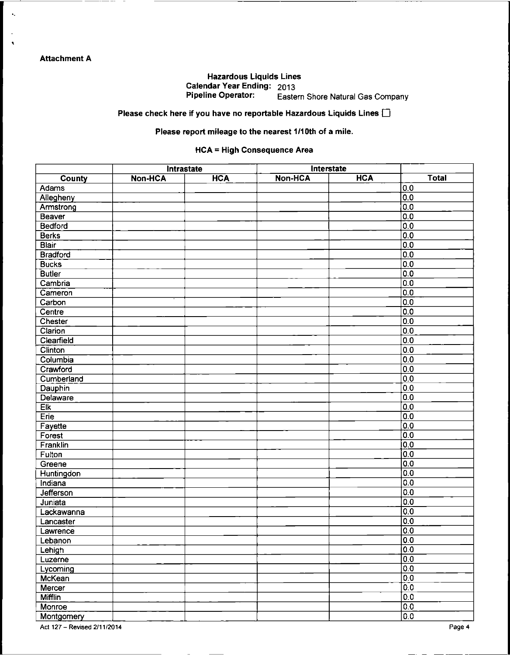### **Attachment A**

 $\bullet_\bullet$ 

 $\cdot$ 

#### Hazardous Liquids Lines Calendar Year Ending: 2013 Eastern Shore Natural Gas Company

Please check here if you have no reportable Hazardous Liquids Lines  $\square$ 

#### Please report mileage to the nearest 1/10th of a mile.

#### HCA = High Consequence Area

|                |                | Intrastate |                | Interstate |                  |
|----------------|----------------|------------|----------------|------------|------------------|
| <b>County</b>  | <b>Non-HCA</b> | <b>HCA</b> | <b>Non-HCA</b> | <b>HCA</b> | <b>Total</b>     |
| Adams          |                |            |                |            | [0.0]            |
| Allegheny      |                |            |                |            | 0.0              |
| Armstrong      |                |            |                |            | 0.0              |
| Beaver         |                |            |                |            | 0.0              |
| Bedford        |                |            |                |            | 0.0              |
| <b>Berks</b>   |                |            |                |            | 0.0              |
| <b>Blair</b>   |                |            |                |            | 0.0              |
| Bradford       |                |            |                |            | 0.0              |
| <b>Bucks</b>   |                |            |                |            | 0.0              |
| <b>Butler</b>  |                |            |                |            | 0.0              |
| Cambria        |                |            |                |            | 0.0              |
| Cameron        |                |            |                |            | 0.0              |
| Carbon         |                |            |                |            | 0.0              |
| Centre         |                |            |                |            | 0.0              |
| Chester        |                |            |                |            | 0.0              |
| Clarion        |                |            |                |            | 0.0              |
| Cleanfield     |                |            |                |            | 0.0              |
|                |                |            |                |            |                  |
| Clinton        |                |            |                |            | 0.0<br>0.0       |
| Columbia       |                |            |                |            |                  |
| Crawford       |                |            |                |            | 0.0              |
| Cumberland     |                |            |                |            | 0.0              |
| Dauphin        |                |            |                |            | 0.0              |
| Delaware       |                |            |                |            | $\overline{0.0}$ |
| Eik            |                |            |                |            | 0.0              |
| Erie           |                |            |                |            | $\overline{0.0}$ |
| Fayette        |                |            |                |            | $\overline{0.0}$ |
| Forest         |                |            |                |            | 0.0              |
| Franklin       |                |            |                |            | 0.0              |
| Fulton         |                |            |                |            | $\overline{0.0}$ |
| Greene         |                |            |                |            | 0.0              |
| Huntingdon     |                |            |                |            | 0.0              |
| Indiana        |                |            |                |            | 0.0              |
| Jefferson      |                |            |                |            | 0.0              |
| Juniata        |                |            |                |            | 0.0              |
| Lackawanna     |                |            |                |            | $\overline{0.0}$ |
| Lancaster      |                |            |                |            | 0.0              |
| Lawrence       |                |            |                |            | 0.0              |
| Lebanon        |                |            |                |            | 0.0              |
| Lehigh         |                |            |                |            | 0.0              |
| Luzerne        |                |            |                |            | $\overline{0.0}$ |
| Lycoming       |                |            |                |            | 0.0              |
| McKean         |                |            |                |            | 0.0              |
| Mercer         |                |            |                |            | $\overline{0.0}$ |
| <b>Mifflin</b> |                |            |                |            | 0.0              |
| Monroe         |                |            |                |            | 0.0              |
| Montgomery     |                |            |                |            | $\overline{0.0}$ |

Act <sup>127</sup> - Revised 2/11/2014 Page <sup>4</sup>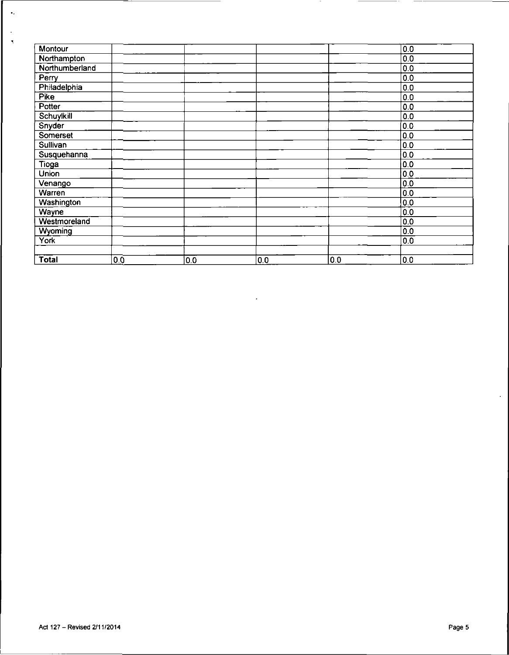| Montour           |     |     |     |     | 0.0            |
|-------------------|-----|-----|-----|-----|----------------|
| Northampton       |     |     |     |     | 0 <sub>0</sub> |
| Northumberland    |     |     |     |     | 0.0            |
| Perry             |     |     |     |     | 0.0            |
| Philadelphia      |     |     |     |     | 0.0            |
| <b>Pike</b>       |     |     |     |     | 0.0            |
| Potter            |     |     |     |     | 0.0            |
| Schuylkill        |     |     |     |     | 0.0            |
| Snyder            |     |     |     |     | 0.0            |
| Somerset          |     |     |     |     | 0.0            |
| Sullivan          |     |     |     |     | 0.0            |
| Susquehanna       |     |     |     |     | 0.0            |
| Tioga             |     |     |     |     | 0.0            |
| <b>Union</b>      |     |     |     |     | 0.0            |
| Venango           |     |     |     |     | 0.0            |
| Warren            |     |     |     |     | 0.0            |
| <b>Washington</b> |     |     |     |     | 0.0            |
| Wayne             |     |     |     |     | 0.0            |
| Westmoreland      |     |     |     |     | 0.0            |
| Wyoming           |     |     |     |     | 0.0            |
| York              |     |     |     |     | 0.0            |
|                   |     |     |     |     |                |
| <b>Total</b>      | 0.0 | 0.0 | 0.0 | 0.0 | 0.0            |

 $\star$ 

 $\bullet$  .

 $\ddot{\phantom{a}}$  $\mathcal{A}$ 

 $\mathcal{L}_{\mathcal{A}}$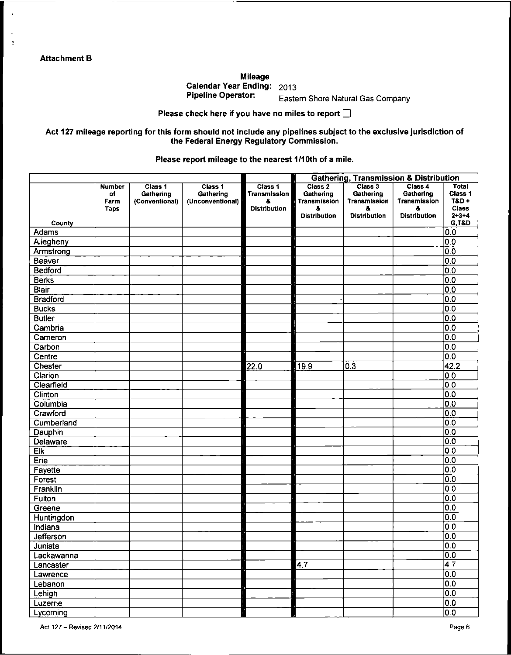**Attachment B**

 $\mathbf{t}_i$ 

 $\overline{\mathbf{r}}$ 

**Mileage Calendar Year Ending: 2013**

**Pipeline Operator.** Eastern Shore Natural Gas Company

**Please check here if you have no miles to report G**

Act 127 mileage reporting for this form should not include any pipelines subject to the exclusive jurisdiction of **the Federal Energy Regulatory Commission.**

**Please report mileage to the nearest 1/1 Oth of a mile.**

|                  |                                     |                                        |                                          |                                                      | <b>Gathering, Transmission &amp; Distribution</b>                                   |                                                                  |                                                                   |                                                            |
|------------------|-------------------------------------|----------------------------------------|------------------------------------------|------------------------------------------------------|-------------------------------------------------------------------------------------|------------------------------------------------------------------|-------------------------------------------------------------------|------------------------------------------------------------|
|                  | <b>Number</b><br>of<br>Farm<br>Taps | Class 1<br>Gathering<br>(Conventional) | Class 1<br>Gathering<br>(Unconventional) | Class 1<br>Transmission<br>8.<br><b>Distribution</b> | Class <sub>2</sub><br>Gathering<br><b>Transmission</b><br>8.<br><b>Distribution</b> | Class 3<br>Gathering<br>Transmission<br>å<br><b>Distribution</b> | Class 4<br>Gathering<br>Transmission<br>8.<br><b>Distribution</b> | Total<br>Class 1<br>$TBD +$<br><b>Class</b><br>$2 + 3 + 4$ |
| County           |                                     |                                        |                                          |                                                      |                                                                                     |                                                                  |                                                                   | <b>G,T&amp;D</b>                                           |
| Adams            |                                     |                                        |                                          |                                                      |                                                                                     |                                                                  |                                                                   | 0.0                                                        |
| Allegheny        |                                     |                                        |                                          |                                                      |                                                                                     |                                                                  |                                                                   | 0.0                                                        |
| Armstrong        |                                     |                                        |                                          |                                                      |                                                                                     |                                                                  |                                                                   | $\overline{0.0}$                                           |
| Beaver           |                                     |                                        |                                          |                                                      |                                                                                     |                                                                  |                                                                   | 0.0                                                        |
| <b>Bedford</b>   |                                     |                                        |                                          |                                                      |                                                                                     |                                                                  |                                                                   | 0.0                                                        |
| Berks            |                                     |                                        |                                          |                                                      |                                                                                     |                                                                  |                                                                   | 0.0                                                        |
| <b>Blair</b>     |                                     |                                        |                                          |                                                      |                                                                                     |                                                                  |                                                                   | 0.0                                                        |
| <b>Bradford</b>  |                                     |                                        |                                          |                                                      |                                                                                     |                                                                  |                                                                   | 0.0                                                        |
| <b>Bucks</b>     |                                     |                                        |                                          |                                                      |                                                                                     |                                                                  |                                                                   | 0.0                                                        |
| <b>Butler</b>    |                                     |                                        |                                          |                                                      |                                                                                     |                                                                  |                                                                   | 0.0                                                        |
| Cambria          |                                     |                                        |                                          |                                                      |                                                                                     |                                                                  |                                                                   | 0.0                                                        |
| Cameron          |                                     |                                        |                                          |                                                      |                                                                                     |                                                                  |                                                                   | 0.0                                                        |
| Carbon           |                                     |                                        |                                          |                                                      |                                                                                     |                                                                  |                                                                   | 0.0                                                        |
| Centre           |                                     |                                        |                                          |                                                      |                                                                                     |                                                                  |                                                                   | 0.0                                                        |
| Chester          |                                     |                                        |                                          | 22.0                                                 | 19.9                                                                                | 0.3                                                              |                                                                   | 42.2                                                       |
| Clarion          |                                     |                                        |                                          |                                                      |                                                                                     |                                                                  |                                                                   | 0.0                                                        |
| Clearfield       |                                     |                                        |                                          |                                                      |                                                                                     |                                                                  |                                                                   | 0.0                                                        |
| Clinton          |                                     |                                        |                                          |                                                      |                                                                                     |                                                                  |                                                                   | 0.0                                                        |
| Columbia         |                                     |                                        |                                          |                                                      |                                                                                     |                                                                  |                                                                   | 0.0                                                        |
| Crawford         |                                     |                                        |                                          |                                                      |                                                                                     |                                                                  |                                                                   | 0.0                                                        |
| Cumberland       |                                     |                                        |                                          |                                                      |                                                                                     |                                                                  |                                                                   | 0.0                                                        |
| Dauphin          |                                     |                                        |                                          |                                                      |                                                                                     |                                                                  |                                                                   | 0.0                                                        |
| Delaware         |                                     |                                        |                                          |                                                      |                                                                                     |                                                                  |                                                                   | 0.0                                                        |
| Elk              |                                     |                                        |                                          |                                                      |                                                                                     |                                                                  |                                                                   | 0.0                                                        |
| Erie             |                                     |                                        |                                          |                                                      |                                                                                     |                                                                  |                                                                   | 0.0                                                        |
| Fayette          |                                     |                                        |                                          |                                                      |                                                                                     |                                                                  |                                                                   | 0.0                                                        |
| Forest           |                                     |                                        |                                          |                                                      |                                                                                     |                                                                  |                                                                   | 0.0                                                        |
| Franklin         |                                     |                                        |                                          |                                                      |                                                                                     |                                                                  |                                                                   | 0.0                                                        |
| Fulton           |                                     |                                        |                                          |                                                      |                                                                                     |                                                                  |                                                                   | 0.0                                                        |
| Greene           |                                     |                                        |                                          |                                                      |                                                                                     |                                                                  |                                                                   | $\overline{0.0}$                                           |
| Huntingdon       |                                     |                                        |                                          |                                                      |                                                                                     |                                                                  |                                                                   | 0.0                                                        |
| Indiana          |                                     |                                        |                                          |                                                      |                                                                                     |                                                                  |                                                                   | 0.0                                                        |
| <b>Jefferson</b> |                                     |                                        |                                          |                                                      |                                                                                     |                                                                  |                                                                   | 0.0                                                        |
| Juniata          |                                     |                                        |                                          |                                                      |                                                                                     |                                                                  |                                                                   | $\overline{0.0}$                                           |
| Lackawanna       |                                     |                                        |                                          |                                                      |                                                                                     |                                                                  |                                                                   | $\overline{0.0}$                                           |
| Lancaster        |                                     |                                        |                                          |                                                      | $\sqrt{4.7}$                                                                        |                                                                  |                                                                   | $\overline{4}$ 7                                           |
| Lawrence         |                                     |                                        |                                          |                                                      |                                                                                     |                                                                  |                                                                   | 0.0                                                        |
| Lebanon          |                                     |                                        |                                          |                                                      |                                                                                     |                                                                  |                                                                   | $\overline{0.0}$                                           |
| Lehigh           |                                     |                                        |                                          |                                                      |                                                                                     |                                                                  |                                                                   | 0.0                                                        |
| Luzerne          |                                     |                                        |                                          |                                                      |                                                                                     |                                                                  |                                                                   | 0.0                                                        |
| Lycoming         |                                     |                                        |                                          |                                                      |                                                                                     |                                                                  |                                                                   | $\overline{0.0}$                                           |

Act <sup>127</sup> - Revised 2/11/2014 Page <sup>6</sup>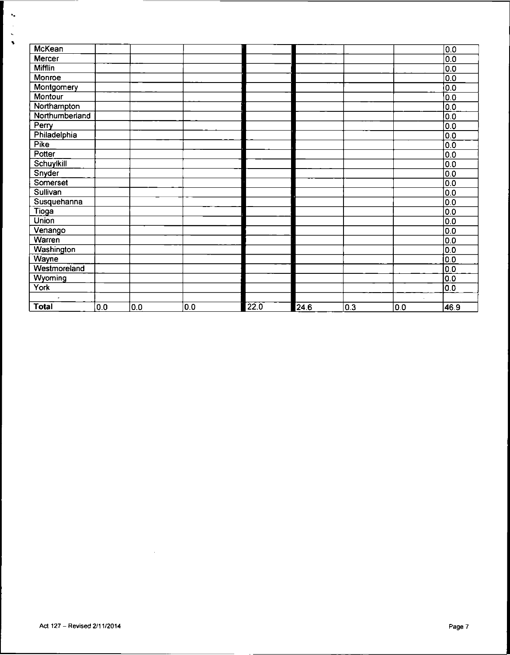| McKean         |     |     |     |      |               |     |     | 0.0              |
|----------------|-----|-----|-----|------|---------------|-----|-----|------------------|
| Mercer         |     |     |     |      |               |     |     | 0.0              |
| <b>Mifflin</b> |     |     |     |      |               |     |     | 0.0              |
| Monroe         |     |     |     |      |               |     |     | 0.0              |
| Montgomery     |     |     |     |      |               |     |     | 0.0              |
| <b>Montour</b> |     |     |     |      |               |     |     | 0.0              |
| Northampton    |     |     |     |      |               |     |     | 0.0              |
| Northumberland |     |     |     |      |               |     |     | 0.0              |
| Perry          |     |     |     |      |               |     |     | 0.0              |
| Philadelphia   |     |     |     |      |               |     |     | 0.0              |
| <b>Pike</b>    |     |     |     |      |               |     |     | $0.\overline{0}$ |
| Potter         |     |     |     |      |               |     |     | 0.0              |
| Schuylkill     |     |     |     |      |               |     |     | 0.0              |
| Snyder         |     |     |     |      |               |     |     | 0.0              |
| Somerset       |     |     |     |      |               |     |     | 0.0              |
| Sullivan       |     |     |     |      |               |     |     | 0.0              |
| Susquehanna    |     |     |     |      |               |     |     | 0.0              |
| Tioga          |     |     |     |      |               |     |     | 0.0              |
| <b>Union</b>   |     |     |     |      |               |     |     | 0.0              |
| Venango        |     |     |     |      |               |     |     | 0.0              |
| Warren         |     |     |     |      |               |     |     | 0.0              |
| Washington     |     |     |     |      |               |     |     | 0.0              |
| Wayne          |     |     |     |      |               |     |     | 0.0              |
| Westmoreland   |     |     |     |      |               |     |     | 0.0              |
| Wyoming        |     |     |     |      |               |     |     | 0.0              |
| York           |     |     |     |      |               |     |     | 0.0              |
| $\overline{a}$ |     |     |     |      |               |     |     |                  |
| <b>Total</b>   | 0.0 | 0.0 | 0.0 | 22.0 | $\sqrt{24.6}$ | 0.3 | 0.0 | 46.9             |

 $\sim 10^{-11}$ 

 $\mathbf{v}_\bullet$ l,  $\ddot{\cdot}$